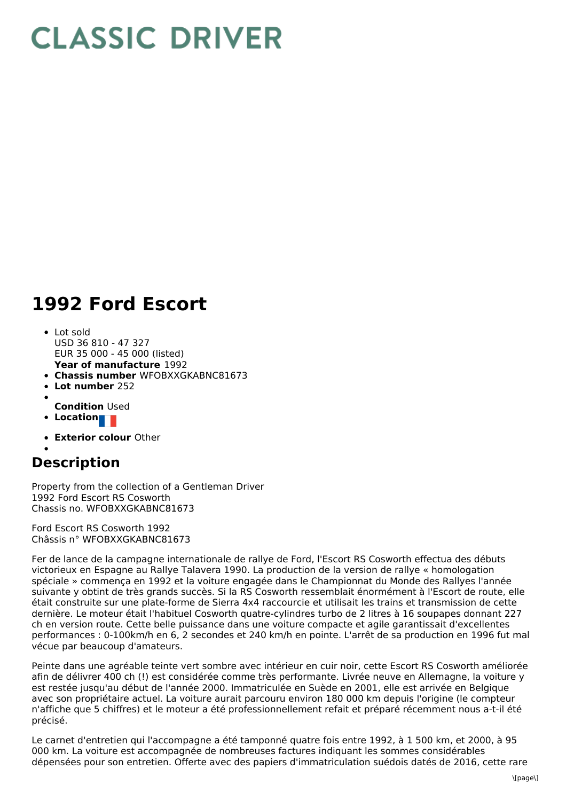## **CLASSIC DRIVER**

## **1992 Ford Escort**

- **Year of manufacture** 1992 Lot sold USD 36 810 - 47 327 EUR 35 000 - 45 000 (listed)
- **Chassis number** WFOBXXGKABNC81673
- **Lot number** 252
- 
- **Condition** Used
- **Location**
- **Exterior colour** Other

## **Description**

Property from the collection of a Gentleman Driver 1992 Ford Escort RS Cosworth Chassis no. WFOBXXGKABNC81673

Ford Escort RS Cosworth 1992 Châssis n° WFOBXXGKABNC81673

Fer de lance de la campagne internationale de rallye de Ford, l'Escort RS Cosworth effectua des débuts victorieux en Espagne au Rallye Talavera 1990. La production de la version de rallye « homologation spéciale » commença en 1992 et la voiture engagée dans le Championnat du Monde des Rallyes l'année suivante y obtint de très grands succès. Si la RS Cosworth ressemblait énormément à l'Escort de route, elle était construite sur une plate-forme de Sierra 4x4 raccourcie et utilisait les trains et transmission de cette dernière. Le moteur était l'habituel Cosworth quatre-cylindres turbo de 2 litres à 16 soupapes donnant 227 ch en version route. Cette belle puissance dans une voiture compacte et agile garantissait d'excellentes performances : 0-100km/h en 6, 2 secondes et 240 km/h en pointe. L'arrêt de sa production en 1996 fut mal vécue par beaucoup d'amateurs.

Peinte dans une agréable teinte vert sombre avec intérieur en cuir noir, cette Escort RS Cosworth améliorée afin de délivrer 400 ch (!) est considérée comme très performante. Livrée neuve en Allemagne, la voiture y est restée jusqu'au début de l'année 2000. Immatriculée en Suède en 2001, elle est arrivée en Belgique avec son propriétaire actuel. La voiture aurait parcouru environ 180 000 km depuis l'origine (le compteur n'affiche que 5 chiffres) et le moteur a été professionnellement refait et préparé récemment nous a-t-il été précisé.

Le carnet d'entretien qui l'accompagne a été tamponné quatre fois entre 1992, à 1 500 km, et 2000, à 95 000 km. La voiture est accompagnée de nombreuses factures indiquant les sommes considérables dépensées pour son entretien. Offerte avec des papiers d'immatriculation suédois datés de 2016, cette rare